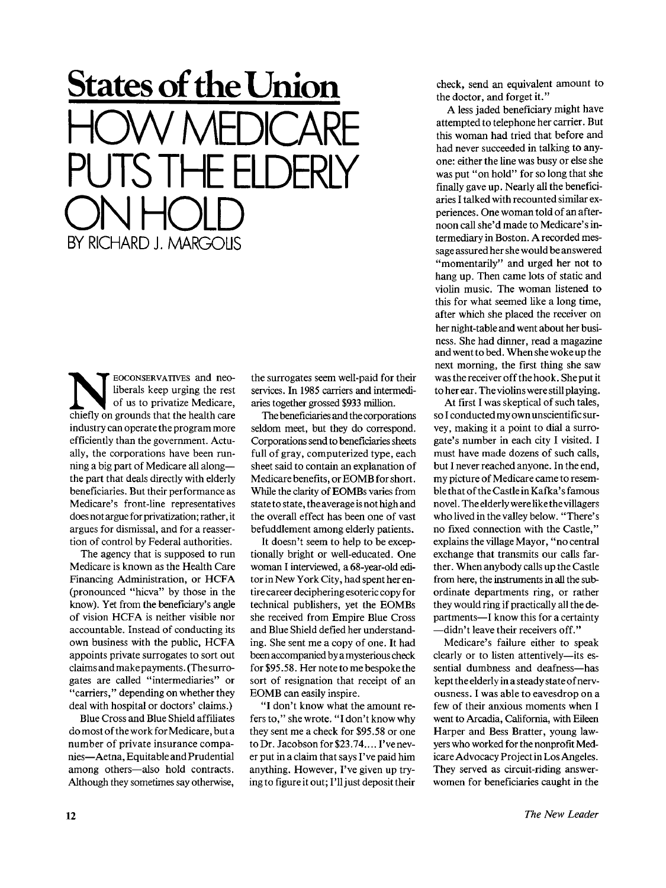## **States of the Union**  HOW MEDICARE PUTS THE ELDERLY ON HOLD BY RICHARD J. MARGOUS

**NOCONSERVATIVES** and neo-<br>liberals keep urging the rest<br>of us to privatize Medicare,<br>chiefly on grounds that the health care EOCONSERVATIVES and neoliberals keep urging the rest of us to privatize Medicare, industry can operate the program more efficiently than the government. Actually, the corporations have been running a big part of Medicare all along the part that deals directly with elderly beneficiaries. But their performance as Medicare's front-line representatives does not argue for privatization; rather, it argues for dismissal, and for a reassertion of control by Federal authorities.

The agency that is supposed to run Medicare is known as the Health Care Financing Administration, or HCFA (pronounced "hicva" by those in the know). Yet from the beneficiary's angle of vision HCFA is neither visible nor accountable. Instead of conducting its own business with the public, HCFA appoints private surrogates to sort out claims and make payments. (The surrogates are called "intermediaries" or "carriers," depending on whether they deal with hospital or doctors' claims.)

Blue Cross and Blue Shield affiliates do most of the work for Medicare, but a number of private insurance companies—Aetna, Equitable and Prudential among others—also hold contracts. Although they sometimes say otherwise, the surrogates seem well-paid for their services. In 1985 carriers and intermediaries together grossed \$933 million.

The beneficiaries and the corporations seldom meet, but they do correspond. Corporations send to beneficiaries sheets full of gray, computerized type, each sheet said to contain an explanation of Medicare benefits, or EOMB for short. While the clarity of EOMBs varies from state to state, the average is not high and the overall effect has been one of vast befuddlement among elderly patients.

It doesn't seem to help to be exceptionally bright or well-educated. One woman I interviewed, a 68-year-old editor in New York City, had spent her entire career deciphering esoteric copy for technical publishers, yet the EOMBs she received from Empire Blue Cross and Blue Shield defied her understanding. She sent me a copy of one. It had been accompanied by a mysterious check for \$95.58. Her note to me bespoke the sort of resignation that receipt of an EOMB can easily inspire.

"I don't know what the amount refers to," she wrote. "I don't know why they sent me a check for \$95.58 or one to Dr. Jacobson for \$23.74.... I've never put in a claim that says I've paid him anything. However, I've given up trying to figure it out; I'll just deposit their check, send an equivalent amount to the doctor, and forget it."

A less jaded beneficiary might have attempted to telephone her carrier. But this woman had tried that before and had never succeeded in talking to anyone: either the line was busy or else she was put "on hold" for so long that she finally gave up. Nearly all the beneficiaries I talked with recounted similar experiences. One woman told of an afternoon call she'd made to Medicare's intermediary in Boston. A recorded message assured her she would be answered "momentarily" and urged her not to hang up. Then came lots of static and violin music. The woman listened to this for what seemed like a long time, after which she placed the receiver on her night-table and went about her business. She had dinner, read a magazine and went to bed. When she woke up the next morning, the first thing she saw was the receiver off the hook. She put it to her ear. The violins were still playing.

At first I was skeptical of such tales, so I conducted my own unscientific survey, making it a point to dial a surrogate's number in each city I visited. I must have made dozens of such calls, but I never reached anyone. In the end, my picture of Medicare came to resemble that of the Castle in Kafka's famous no vel. The elderly were like the villagers who lived in the valley below. "There's no fixed connection with the Castle," explains the village Mayor, "no central exchange that transmits our calls farther. When anybody calls up the Castle from here, the instruments in all the subordinate departments ring, or rather they would ring if practically all the departments—I know this for a certainty —didn't leave their receivers off."

Medicare's failure either to speak clearly or to listen attentively—its essential dumbness and deafness—has kept the elderly in a steady state of nervousness. I was able to eavesdrop on a few of their anxious moments when I went to Arcadia, California, with Eileen Harper and Bess Bratter, young lawyers who worked for the nonprofit Medicare Advocacy Project in Los Angeles. They served as circuit-riding answerwomen for beneficiaries caught in the